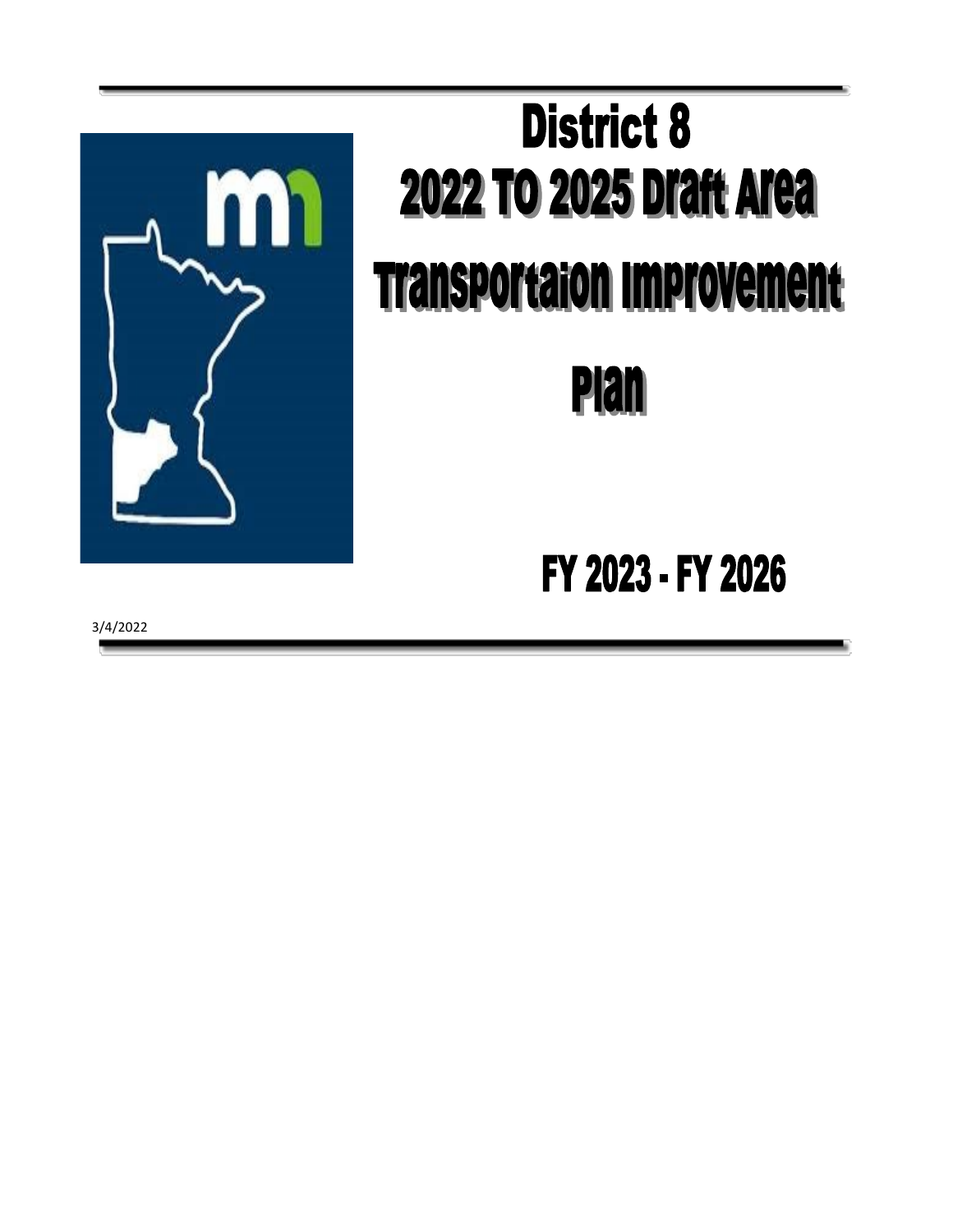

## **District 8 2022 TO 2025 Draft Area Transportation Improvement Plan**

## FY 2023 - FY 2026

3/4/2022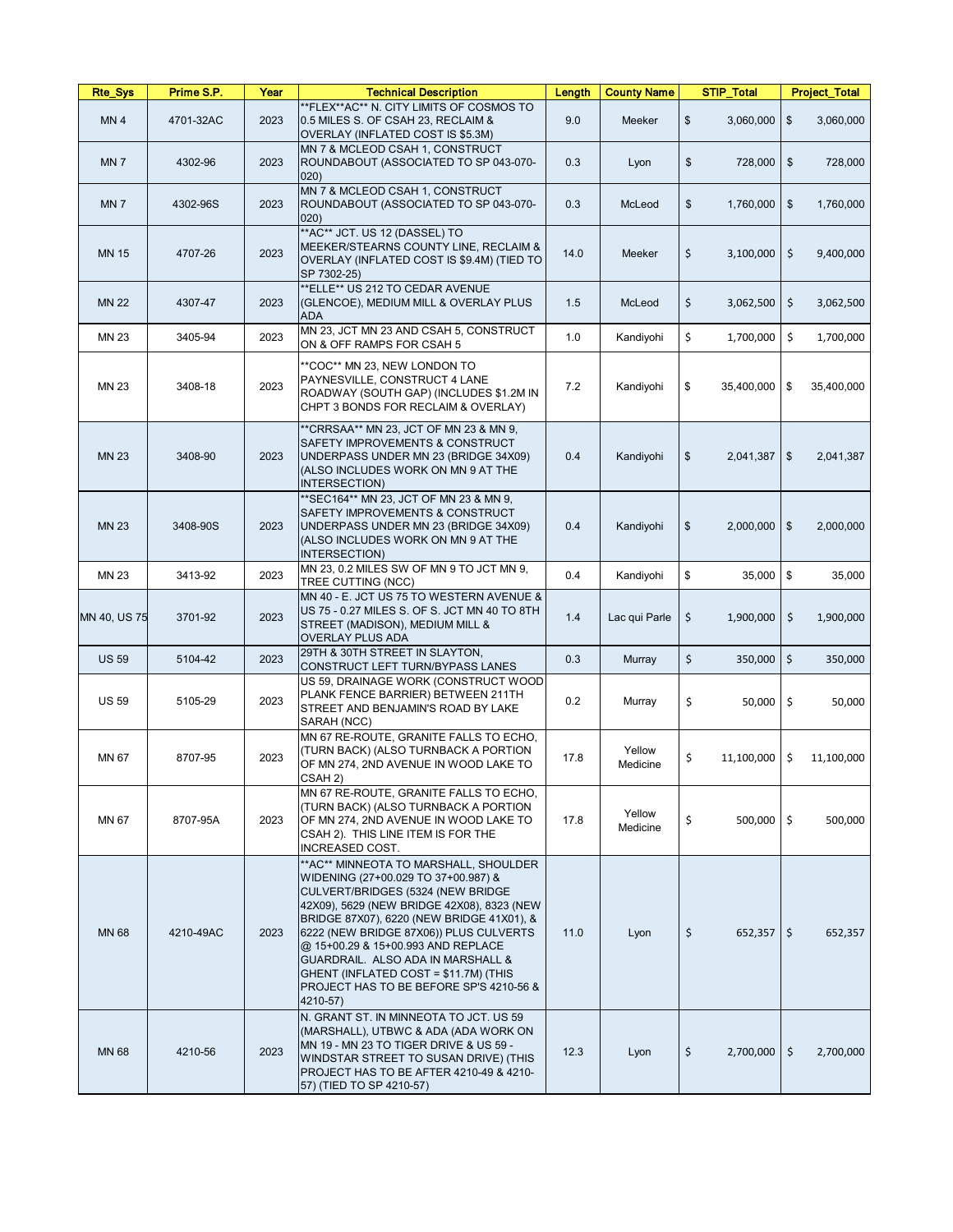| <b>Rte_Sys</b>  | Prime S.P. | Year | <b>Technical Description</b>                                                                                                                                                                                                                                                                                                                                                                                                                             | Length | <b>County Name</b> | <b>STIP_Total</b>           | <b>Project_Total</b>                    |
|-----------------|------------|------|----------------------------------------------------------------------------------------------------------------------------------------------------------------------------------------------------------------------------------------------------------------------------------------------------------------------------------------------------------------------------------------------------------------------------------------------------------|--------|--------------------|-----------------------------|-----------------------------------------|
| MN <sub>4</sub> | 4701-32AC  | 2023 | **FLEX**AC** N. CITY LIMITS OF COSMOS TO<br>0.5 MILES S. OF CSAH 23, RECLAIM &<br>OVERLAY (INFLATED COST IS \$5.3M)                                                                                                                                                                                                                                                                                                                                      | 9.0    | Meeker             | $\frac{1}{2}$<br>3,060,000  | $\boldsymbol{\mathsf{\$}}$<br>3,060,000 |
| MN <sub>7</sub> | 4302-96    | 2023 | MN 7 & MCLEOD CSAH 1, CONSTRUCT<br>ROUNDABOUT (ASSOCIATED TO SP 043-070-<br>$ 020\rangle$                                                                                                                                                                                                                                                                                                                                                                | 0.3    | Lyon               | \$<br>728,000               | 728,000<br>$\frac{1}{2}$                |
| MN <sub>7</sub> | 4302-96S   | 2023 | MN 7 & MCLEOD CSAH 1, CONSTRUCT<br>ROUNDABOUT (ASSOCIATED TO SP 043-070-<br>$ 020\rangle$                                                                                                                                                                                                                                                                                                                                                                | 0.3    | McLeod             | \$<br>1,760,000             | 1,760,000<br>$\mathfrak{F}$             |
| <b>MN 15</b>    | 4707-26    | 2023 | **AC** JCT. US 12 (DASSEL) TO<br>MEEKER/STEARNS COUNTY LINE, RECLAIM &<br>OVERLAY (INFLATED COST IS \$9.4M) (TIED TO<br>SP 7302-25)                                                                                                                                                                                                                                                                                                                      | 14.0   | Meeker             | \$<br>3,100,000             | $\frac{1}{2}$<br>9,400,000              |
| <b>MN 22</b>    | 4307-47    | 2023 | **ELLE** US 212 TO CEDAR AVENUE<br>(GLENCOE), MEDIUM MILL & OVERLAY PLUS<br><b>ADA</b>                                                                                                                                                                                                                                                                                                                                                                   | 1.5    | McLeod             | \$<br>3,062,500             | \$<br>3,062,500                         |
| <b>MN 23</b>    | 3405-94    | 2023 | MN 23, JCT MN 23 AND CSAH 5, CONSTRUCT<br>ON & OFF RAMPS FOR CSAH 5                                                                                                                                                                                                                                                                                                                                                                                      | 1.0    | Kandiyohi          | \$<br>1,700,000             | \$<br>1,700,000                         |
| <b>MN 23</b>    | 3408-18    | 2023 | **COC** MN 23, NEW LONDON TO<br>PAYNESVILLE, CONSTRUCT 4 LANE<br>ROADWAY (SOUTH GAP) (INCLUDES \$1.2M IN<br>CHPT 3 BONDS FOR RECLAIM & OVERLAY)                                                                                                                                                                                                                                                                                                          | 7.2    | Kandiyohi          | \$<br>35,400,000            | 35,400,000<br>\$                        |
| <b>MN 23</b>    | 3408-90    | 2023 | ** CRRSAA** MN 23, JCT OF MN 23 & MN 9,<br><b>SAFETY IMPROVEMENTS &amp; CONSTRUCT</b><br>UNDERPASS UNDER MN 23 (BRIDGE 34X09)<br>(ALSO INCLUDES WORK ON MN 9 AT THE<br>INTERSECTION)                                                                                                                                                                                                                                                                     | 0.4    | Kandiyohi          | $\frac{1}{2}$<br>2,041,387  | $\frac{3}{2}$<br>2,041,387              |
| <b>MN 23</b>    | 3408-90S   | 2023 | ** SEC164** MN 23, JCT OF MN 23 & MN 9,<br><b>SAFETY IMPROVEMENTS &amp; CONSTRUCT</b><br>UNDERPASS UNDER MN 23 (BRIDGE 34X09)<br>(ALSO INCLUDES WORK ON MN 9 AT THE<br>INTERSECTION)                                                                                                                                                                                                                                                                     | 0.4    | Kandiyohi          | \$<br>2,000,000             | \$<br>2,000,000                         |
| <b>MN 23</b>    | 3413-92    | 2023 | MN 23, 0.2 MILES SW OF MN 9 TO JCT MN 9,<br>TREE CUTTING (NCC)                                                                                                                                                                                                                                                                                                                                                                                           | 0.4    | Kandiyohi          | \$<br>$35,000$ \$           | 35,000                                  |
| MN 40, US 75    | 3701-92    | 2023 | MN 40 - E. JCT US 75 TO WESTERN AVENUE &<br>US 75 - 0.27 MILES S. OF S. JCT MN 40 TO 8TH<br>STREET (MADISON), MEDIUM MILL &<br><b>OVERLAY PLUS ADA</b>                                                                                                                                                                                                                                                                                                   | 1.4    | Lac qui Parle      | \$<br>1,900,000             | \$<br>1,900,000                         |
| <b>US 59</b>    | 5104-42    | 2023 | 29TH & 30TH STREET IN SLAYTON,<br>CONSTRUCT LEFT TURN/BYPASS LANES                                                                                                                                                                                                                                                                                                                                                                                       | 0.3    | Murray             | \$<br>350,000               | $\zeta$<br>350,000                      |
| <b>US 59</b>    | 5105-29    | 2023 | US 59, DRAINAGE WORK (CONSTRUCT WOOD<br>PLANK FENCE BARRIER) BETWEEN 211TH<br><b>STREET AND BENJAMIN'S ROAD BY LAKE</b><br>SARAH (NCC)                                                                                                                                                                                                                                                                                                                   | 0.2    | Murray             | \$<br>$50,000$   \$         | 50,000                                  |
| MN 67           | 8707-95    | 2023 | MN 67 RE-ROUTE, GRANITE FALLS TO ECHO,<br>(TURN BACK) (ALSO TURNBACK A PORTION<br>OF MN 274, 2ND AVENUE IN WOOD LAKE TO<br>CSAH 2)                                                                                                                                                                                                                                                                                                                       | 17.8   | Yellow<br>Medicine | \$<br>11,100,000            | \$<br>11,100,000                        |
| MN 67           | 8707-95A   | 2023 | MN 67 RE-ROUTE, GRANITE FALLS TO ECHO,<br>(TURN BACK) (ALSO TURNBACK A PORTION<br>OF MN 274, 2ND AVENUE IN WOOD LAKE TO<br>CSAH 2). THIS LINE ITEM IS FOR THE<br><b>INCREASED COST.</b>                                                                                                                                                                                                                                                                  | 17.8   | Yellow<br>Medicine | \$<br>$500,000$   \$        | 500,000                                 |
| <b>MN 68</b>    | 4210-49AC  | 2023 | ** AC** MINNEOTA TO MARSHALL, SHOULDER<br>WIDENING (27+00.029 TO 37+00.987) &<br>CULVERT/BRIDGES (5324 (NEW BRIDGE<br>42X09), 5629 (NEW BRIDGE 42X08), 8323 (NEW<br>BRIDGE 87X07), 6220 (NEW BRIDGE 41X01), &<br>6222 (NEW BRIDGE 87X06)) PLUS CULVERTS<br>@ 15+00.29 & 15+00.993 AND REPLACE<br><b>GUARDRAIL. ALSO ADA IN MARSHALL &amp;</b><br>GHENT (INFLATED COST = \$11.7M) (THIS<br><b>PROJECT HAS TO BE BEFORE SP'S 4210-56 &amp;</b><br>4210-57) | 11.0   | Lyon               | \$<br>652,357               | $\zeta$<br>652,357                      |
| <b>MN 68</b>    | 4210-56    | 2023 | N. GRANT ST. IN MINNEOTA TO JCT. US 59<br>(MARSHALL), UTBWC & ADA (ADA WORK ON<br>MN 19 - MN 23 TO TIGER DRIVE & US 59 -<br>WINDSTAR STREET TO SUSAN DRIVE) (THIS<br>PROJECT HAS TO BE AFTER 4210-49 & 4210-<br>57) (TIED TO SP 4210-57)                                                                                                                                                                                                                 | 12.3   | Lyon               | $\zeta$<br>$2,700,000$   \$ | 2,700,000                               |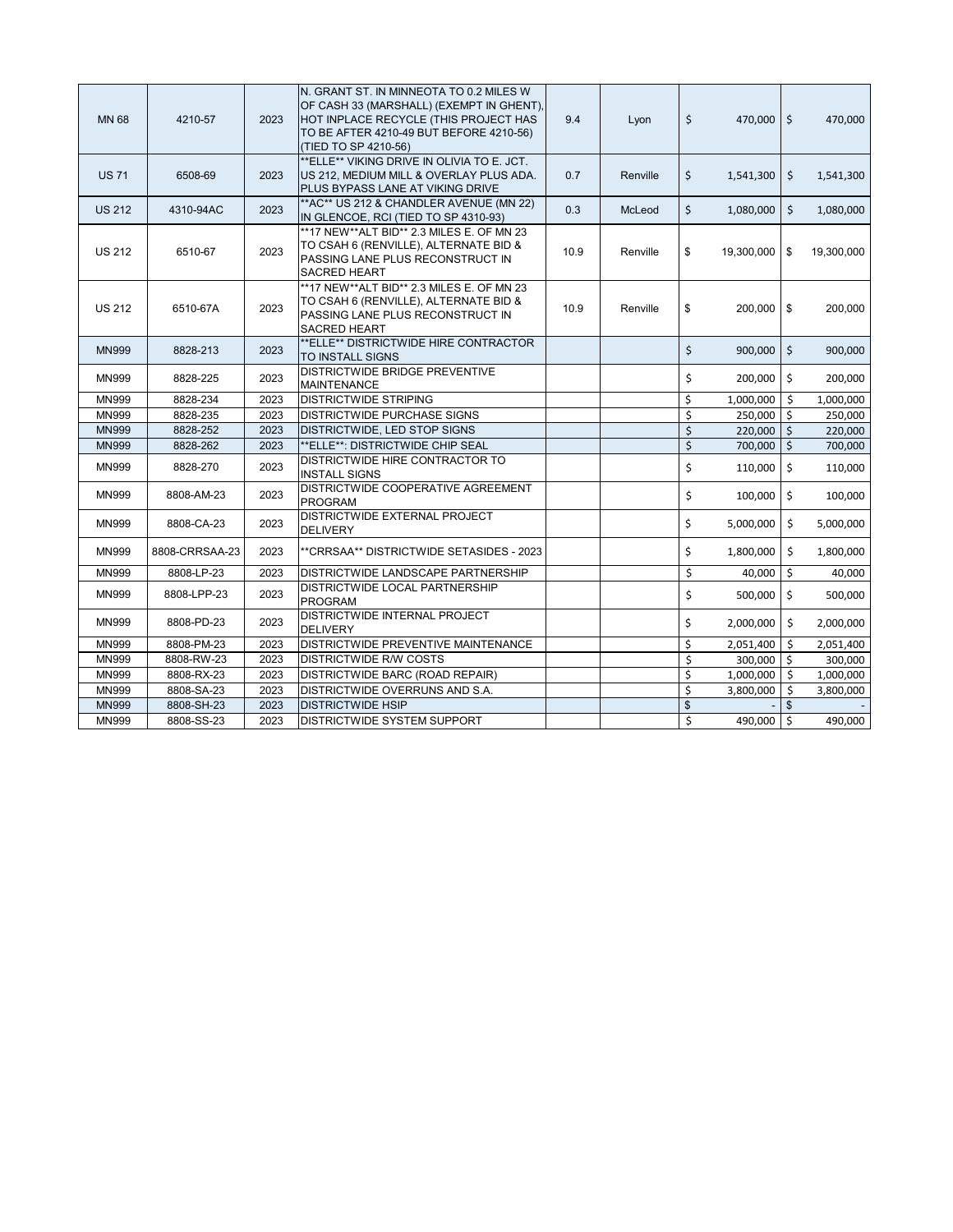| <b>MN 68</b>  | 4210-57        | 2023 | IN. GRANT ST. IN MINNEOTA TO 0.2 MILES W<br>OF CASH 33 (MARSHALL) (EXEMPT IN GHENT),<br>HOT INPLACE RECYCLE (THIS PROJECT HAS<br>TO BE AFTER 4210-49 BUT BEFORE 4210-56)<br>(TIED TO SP 4210-56) | 9.4  | Lyon     | \$<br>470,000 \$   |                    | 470,000    |
|---------------|----------------|------|--------------------------------------------------------------------------------------------------------------------------------------------------------------------------------------------------|------|----------|--------------------|--------------------|------------|
| <b>US 71</b>  | 6508-69        | 2023 | **ELLE** VIKING DRIVE IN OLIVIA TO E. JCT.<br>US 212, MEDIUM MILL & OVERLAY PLUS ADA.<br><b>PLUS BYPASS LANE AT VIKING DRIVE</b>                                                                 | 0.7  | Renville | \$<br>1,541,300    | \$                 | 1,541,300  |
| <b>US 212</b> | 4310-94AC      | 2023 | ** AC** US 212 & CHANDLER AVENUE (MN 22)<br>IN GLENCOE, RCI (TIED TO SP 4310-93)                                                                                                                 | 0.3  | McLeod   | \$<br>1,080,000    | \$                 | 1,080,000  |
| <b>US 212</b> | 6510-67        | 2023 | **17 NEW**ALT BID** 2.3 MILES E. OF MN 23<br>TO CSAH 6 (RENVILLE), ALTERNATE BID &<br><b>PASSING LANE PLUS RECONSTRUCT IN</b><br><b>SACRED HEART</b>                                             | 10.9 | Renville | \$<br>19,300,000   | \$                 | 19,300,000 |
| <b>US 212</b> | 6510-67A       | 2023 | **17 NEW**ALT BID** 2.3 MILES E. OF MN 23<br>TO CSAH 6 (RENVILLE), ALTERNATE BID &<br><b>PASSING LANE PLUS RECONSTRUCT IN</b><br><b>SACRED HEART</b>                                             | 10.9 | Renville | \$<br>$200,000$ \$ |                    | 200,000    |
| <b>MN999</b>  | 8828-213       | 2023 | **ELLE** DISTRICTWIDE HIRE CONTRACTOR<br><b>TO INSTALL SIGNS</b>                                                                                                                                 |      |          | \$<br>900,000      | $\mathsf{S}$       | 900,000    |
| <b>MN999</b>  | 8828-225       | 2023 | <b>DISTRICTWIDE BRIDGE PREVENTIVE</b><br><b>MAINTENANCE</b>                                                                                                                                      |      |          | \$<br>$200,000$ \$ |                    | 200,000    |
| <b>MN999</b>  | 8828-234       | 2023 | <b>DISTRICTWIDE STRIPING</b>                                                                                                                                                                     |      |          | \$<br>1,000,000    | \$                 | 1,000,000  |
| <b>MN999</b>  | 8828-235       | 2023 | <b>DISTRICTWIDE PURCHASE SIGNS</b>                                                                                                                                                               |      |          | \$<br>250,000      | $\zeta$            | 250,000    |
| <b>MN999</b>  | 8828-252       | 2023 | DISTRICTWIDE, LED STOP SIGNS                                                                                                                                                                     |      |          | \$<br>220,000      | \$                 | 220,000    |
| <b>MN999</b>  | 8828-262       | 2023 | **ELLE**: DISTRICTWIDE CHIP SEAL                                                                                                                                                                 |      |          | \$<br>700,000      | \$                 | 700,000    |
| <b>MN999</b>  | 8828-270       | 2023 | <b>DISTRICTWIDE HIRE CONTRACTOR TO</b><br><b>INSTALL SIGNS</b>                                                                                                                                   |      |          | \$<br>110,000      | \$                 | 110,000    |
| <b>MN999</b>  | 8808-AM-23     | 2023 | DISTRICTWIDE COOPERATIVE AGREEMENT<br><b>PROGRAM</b>                                                                                                                                             |      |          | \$<br>100,000      | $\zeta$            | 100,000    |
| <b>MN999</b>  | 8808-CA-23     | 2023 | <b>DISTRICTWIDE EXTERNAL PROJECT</b><br><b>DELIVERY</b>                                                                                                                                          |      |          | \$<br>5,000,000    | \$                 | 5,000,000  |
| <b>MN999</b>  | 8808-CRRSAA-23 | 2023 | **CRRSAA** DISTRICTWIDE SETASIDES - 2023                                                                                                                                                         |      |          | \$<br>1,800,000    | \$                 | 1,800,000  |
| <b>MN999</b>  | 8808-LP-23     | 2023 | <b>IDISTRICTWIDE LANDSCAPE PARTNERSHIP</b>                                                                                                                                                       |      |          | \$<br>40,000       | $\ddot{\varsigma}$ | 40,000     |
| <b>MN999</b>  | 8808-LPP-23    | 2023 | <b>DISTRICTWIDE LOCAL PARTNERSHIP</b><br><b>PROGRAM</b>                                                                                                                                          |      |          | \$<br>500,000      | \$                 | 500,000    |
| <b>MN999</b>  | 8808-PD-23     | 2023 | <b>DISTRICTWIDE INTERNAL PROJECT</b><br><b>DELIVERY</b>                                                                                                                                          |      |          | \$<br>2,000,000    | \$                 | 2,000,000  |
| <b>MN999</b>  | 8808-PM-23     | 2023 | <b>DISTRICTWIDE PREVENTIVE MAINTENANCE</b>                                                                                                                                                       |      |          | \$<br>2,051,400    | \$.                | 2,051,400  |
| <b>MN999</b>  | 8808-RW-23     | 2023 | <b>DISTRICTWIDE R/W COSTS</b>                                                                                                                                                                    |      |          | \$<br>300,000      | $\zeta$            | 300,000    |
| <b>MN999</b>  | 8808-RX-23     | 2023 | <b>DISTRICTWIDE BARC (ROAD REPAIR)</b>                                                                                                                                                           |      |          | \$<br>1,000,000    | \$                 | 1,000,000  |
| <b>MN999</b>  | 8808-SA-23     | 2023 | <b>DISTRICTWIDE OVERRUNS AND S.A.</b>                                                                                                                                                            |      |          | \$<br>3,800,000    | \$                 | 3,800,000  |
| <b>MN999</b>  | 8808-SH-23     | 2023 | <b>DISTRICTWIDE HSIP</b>                                                                                                                                                                         |      |          | \$                 | \$                 |            |
| <b>MN999</b>  | 8808-SS-23     | 2023 | <b>DISTRICTWIDE SYSTEM SUPPORT</b>                                                                                                                                                               |      |          | \$<br>490,000 \$   |                    | 490,000    |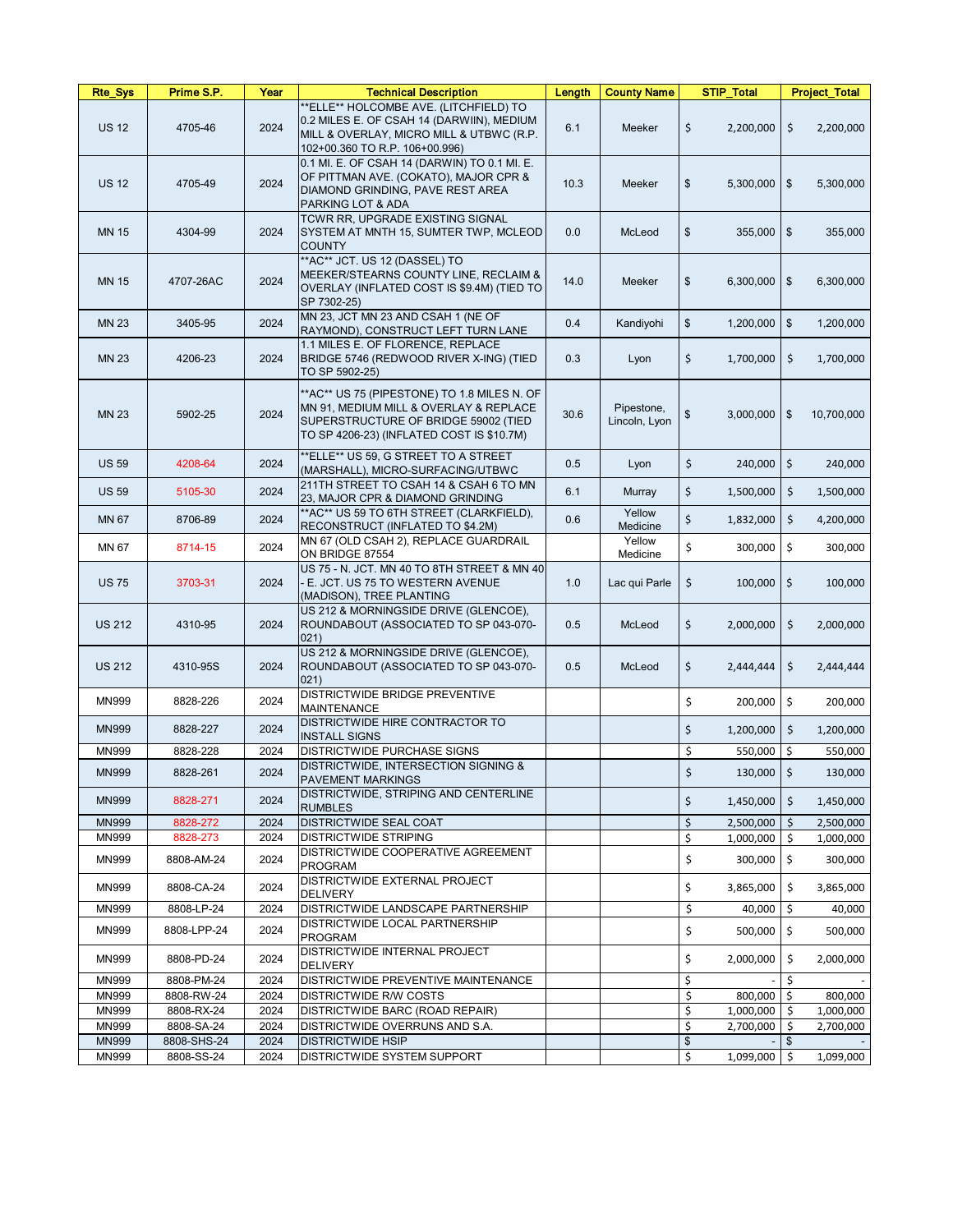| <b>Rte_Sys</b> | Prime S.P.  | Year | <b>Technical Description</b>                                                                                                                                               | Length | <b>County Name</b>          | <b>STIP_Total</b>                      | <b>Project_Total</b>        |
|----------------|-------------|------|----------------------------------------------------------------------------------------------------------------------------------------------------------------------------|--------|-----------------------------|----------------------------------------|-----------------------------|
| <b>US 12</b>   | 4705-46     | 2024 | **ELLE** HOLCOMBE AVE. (LITCHFIELD) TO<br>0.2 MILES E. OF CSAH 14 (DARWIIN), MEDIUM<br>MILL & OVERLAY, MICRO MILL & UTBWC (R.P.<br>102+00.360 TO R.P. 106+00.996)          | 6.1    | Meeker                      | $\zeta$<br>2,200,000                   | \$<br>2,200,000             |
| <b>US 12</b>   | 4705-49     | 2024 | 0.1 MI. E. OF CSAH 14 (DARWIN) TO 0.1 MI. E.<br>OF PITTMAN AVE. (COKATO), MAJOR CPR &<br>DIAMOND GRINDING, PAVE REST AREA<br>PARKING LOT & ADA                             | 10.3   | Meeker                      | $\frac{1}{2}$<br>5,300,000             | l \$<br>5,300,000           |
| <b>MN 15</b>   | 4304-99     | 2024 | TCWR RR, UPGRADE EXISTING SIGNAL<br>SYSTEM AT MNTH 15, SUMTER TWP, MCLEOD<br><b>COUNTY</b>                                                                                 | 0.0    | McLeod                      | \$<br>355,000                          | 355,000<br>\$               |
| <b>MN 15</b>   | 4707-26AC   | 2024 | **AC** JCT. US 12 (DASSEL) TO<br>MEEKER/STEARNS COUNTY LINE, RECLAIM &<br>OVERLAY (INFLATED COST IS \$9.4M) (TIED TO<br>SP 7302-25)                                        | 14.0   | Meeker                      | $\$\$<br>6,300,000                     | $\sqrt[6]{3}$<br>6,300,000  |
| <b>MN 23</b>   | 3405-95     | 2024 | MN 23, JCT MN 23 AND CSAH 1 (NE OF<br>RAYMOND), CONSTRUCT LEFT TURN LANE                                                                                                   | 0.4    | Kandiyohi                   | $\frac{1}{2}$<br>1,200,000             | 1,200,000<br>$\frac{3}{2}$  |
| <b>MN 23</b>   | 4206-23     | 2024 | 1.1 MILES E. OF FLORENCE, REPLACE<br>BRIDGE 5746 (REDWOOD RIVER X-ING) (TIED<br>TO SP 5902-25)                                                                             | 0.3    | Lyon                        | \$<br>1,700,000                        | \$.<br>1,700,000            |
| <b>MN 23</b>   | 5902-25     | 2024 | **AC** US 75 (PIPESTONE) TO 1.8 MILES N. OF<br>MN 91, MEDIUM MILL & OVERLAY & REPLACE<br>SUPERSTRUCTURE OF BRIDGE 59002 (TIED<br>TO SP 4206-23) (INFLATED COST IS \$10.7M) | 30.6   | Pipestone,<br>Lincoln, Lyon | $\boldsymbol{\mathsf{S}}$<br>3,000,000 | 10,700,000<br>\$            |
| <b>US 59</b>   | 4208-64     | 2024 | **ELLE** US 59, G STREET TO A STREET<br>(MARSHALL), MICRO-SURFACING/UTBWC                                                                                                  | 0.5    | Lyon                        | \$<br>240,000                          | \$<br>240,000               |
| <b>US 59</b>   | 5105-30     | 2024 | 211TH STREET TO CSAH 14 & CSAH 6 TO MN<br>23, MAJOR CPR & DIAMOND GRINDING                                                                                                 | 6.1    | Murray                      | \$<br>1,500,000                        | \$<br>1,500,000             |
| <b>MN 67</b>   | 8706-89     | 2024 | ** AC** US 59 TO 6TH STREET (CLARKFIELD),<br>RECONSTRUCT (INFLATED TO \$4.2M)                                                                                              | 0.6    | Yellow<br>Medicine          | \$<br>1,832,000                        | \$<br>4,200,000             |
| <b>MN 67</b>   | 8714-15     | 2024 | MN 67 (OLD CSAH 2), REPLACE GUARDRAIL<br>ON BRIDGE 87554                                                                                                                   |        | Yellow<br>Medicine          | \$<br>300,000                          | \$<br>300,000               |
| <b>US75</b>    | 3703-31     | 2024 | US 75 - N. JCT. MN 40 TO 8TH STREET & MN 40<br>E. JCT. US 75 TO WESTERN AVENUE<br>(MADISON), TREE PLANTING                                                                 | 1.0    | Lac qui Parle               | $100,000$   \$<br>\$                   | 100,000                     |
| <b>US 212</b>  | 4310-95     | 2024 | US 212 & MORNINGSIDE DRIVE (GLENCOE),<br>ROUNDABOUT (ASSOCIATED TO SP 043-070-<br>$ 021\rangle$                                                                            | 0.5    | McLeod                      | \$<br>2,000,000                        | \$<br>2,000,000             |
| <b>US 212</b>  | 4310-95S    | 2024 | US 212 & MORNINGSIDE DRIVE (GLENCOE),<br>ROUNDABOUT (ASSOCIATED TO SP 043-070-<br>$ 021\rangle$                                                                            | 0.5    | McLeod                      | \$<br>2,444,444                        | $\zeta$<br>2,444,444        |
| <b>MN999</b>   | 8828-226    | 2024 | <b>DISTRICTWIDE BRIDGE PREVENTIVE</b><br><b>MAINTENANCE</b>                                                                                                                |        |                             | \$<br>200,000                          | \$<br>200,000               |
| <b>MN999</b>   | 8828-227    | 2024 | <b>DISTRICTWIDE HIRE CONTRACTOR TO</b><br><b>INSTALL SIGNS</b>                                                                                                             |        |                             | \$<br>1,200,000                        | \$<br>1,200,000             |
| <b>MN999</b>   | 8828-228    | 2024 | <b>DISTRICTWIDE PURCHASE SIGNS</b>                                                                                                                                         |        |                             | \$<br>550,000                          | \$<br>550,000               |
| <b>MN999</b>   | 8828-261    | 2024 | DISTRICTWIDE, INTERSECTION SIGNING &<br><b>PAVEMENT MARKINGS</b>                                                                                                           |        |                             | \$<br>130,000                          | \$<br>130,000               |
| <b>MN999</b>   | 8828-271    | 2024 | DISTRICTWIDE, STRIPING AND CENTERLINE<br><b>RUMBLES</b>                                                                                                                    |        |                             | \$<br>1,450,000                        | \$<br>1,450,000             |
| <b>MN999</b>   | 8828-272    | 2024 | <b>DISTRICTWIDE SEAL COAT</b>                                                                                                                                              |        |                             | \$<br>2,500,000                        | \$<br>2,500,000             |
| <b>MN999</b>   | 8828-273    | 2024 | <b>DISTRICTWIDE STRIPING</b>                                                                                                                                               |        |                             | \$<br>1,000,000                        | \$<br>1,000,000             |
| <b>MN999</b>   | 8808-AM-24  | 2024 | <b>DISTRICTWIDE COOPERATIVE AGREEMENT</b><br>PROGRAM                                                                                                                       |        |                             | \$<br>300,000                          | \$<br>300,000               |
| <b>MN999</b>   | 8808-CA-24  | 2024 | <b>DISTRICTWIDE EXTERNAL PROJECT</b><br><b>DELIVERY</b>                                                                                                                    |        |                             | \$<br>3,865,000                        | \$<br>3,865,000             |
| <b>MN999</b>   | 8808-LP-24  | 2024 | <b>DISTRICTWIDE LANDSCAPE PARTNERSHIP</b>                                                                                                                                  |        |                             | \$<br>40,000                           | \$<br>40,000                |
| <b>MN999</b>   | 8808-LPP-24 | 2024 | <b>DISTRICTWIDE LOCAL PARTNERSHIP</b><br>PROGRAM                                                                                                                           |        |                             | \$<br>500,000                          | \$<br>500,000               |
| <b>MN999</b>   | 8808-PD-24  | 2024 | <b>DISTRICTWIDE INTERNAL PROJECT</b><br><b>DELIVERY</b>                                                                                                                    |        |                             | \$<br>2,000,000                        | \$.<br>2,000,000            |
| <b>MN999</b>   | 8808-PM-24  | 2024 | <b>DISTRICTWIDE PREVENTIVE MAINTENANCE</b>                                                                                                                                 |        |                             | \$                                     | \$                          |
| <b>MN999</b>   | 8808-RW-24  | 2024 | <b>DISTRICTWIDE R/W COSTS</b>                                                                                                                                              |        |                             | \$<br>800,000                          | \$<br>800,000               |
| <b>MN999</b>   | 8808-RX-24  | 2024 | <b>DISTRICTWIDE BARC (ROAD REPAIR)</b>                                                                                                                                     |        |                             | \$<br>1,000,000                        | \$<br>1,000,000             |
| <b>MN999</b>   | 8808-SA-24  | 2024 | <b>DISTRICTWIDE OVERRUNS AND S.A.</b>                                                                                                                                      |        |                             | \$<br>2,700,000                        | 2,700,000                   |
| <b>MN999</b>   | 8808-SHS-24 | 2024 | <b>DISTRICTWIDE HSIP</b>                                                                                                                                                   |        |                             | $\mathfrak{S}$                         | $\mathfrak{S}$              |
| MN999          | 8808-SS-24  | 2024 | <b>DISTRICTWIDE SYSTEM SUPPORT</b>                                                                                                                                         |        |                             | \$<br>1,099,000                        | $\ddot{\zeta}$<br>1,099,000 |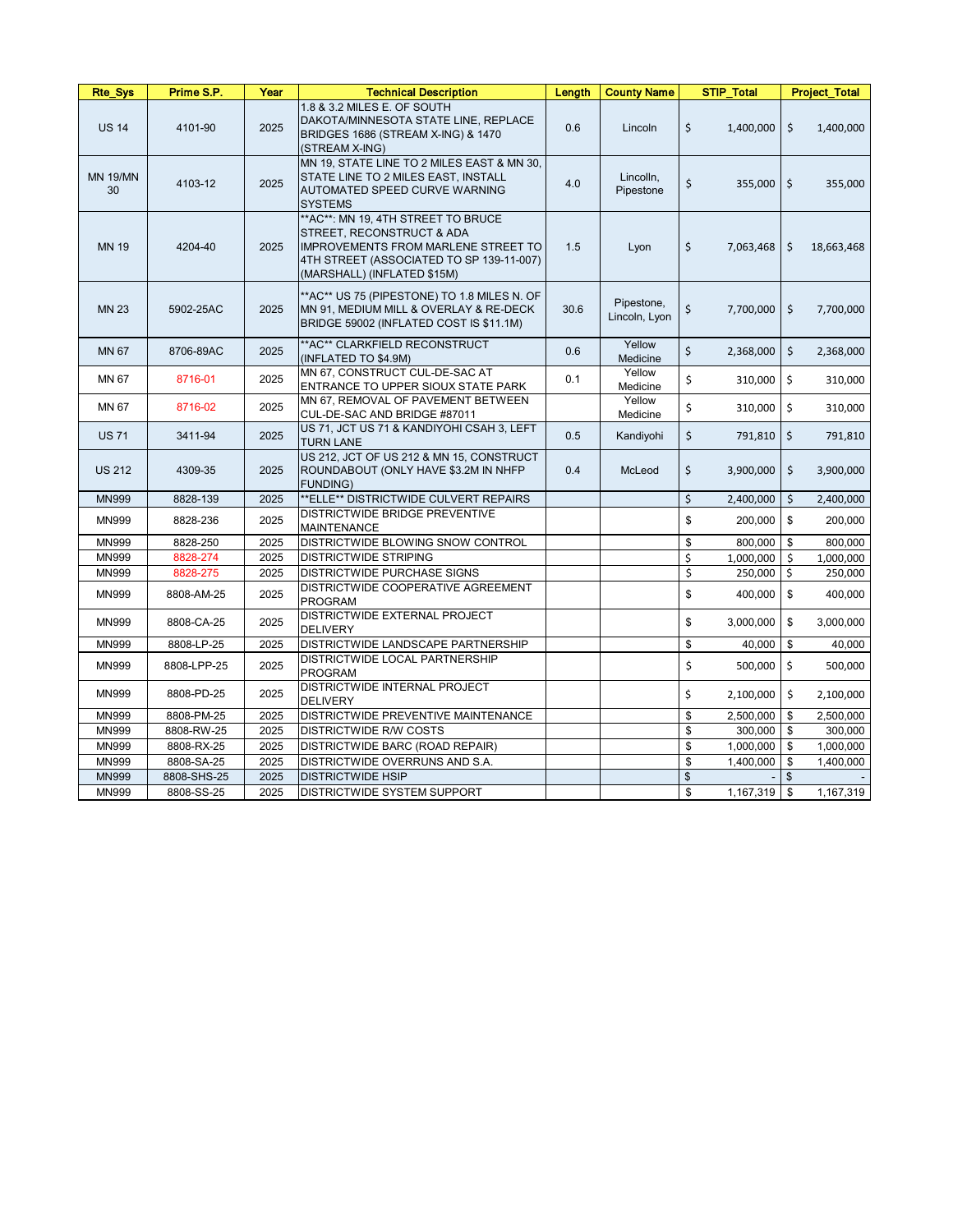| <b>Rte_Sys</b>        | Prime S.P.  | Year | <b>Technical Description</b>                                                                                                                                                              | Length | <b>County Name</b>          | <b>STIP_Total</b> | <b>Project_Total</b>       |
|-----------------------|-------------|------|-------------------------------------------------------------------------------------------------------------------------------------------------------------------------------------------|--------|-----------------------------|-------------------|----------------------------|
| <b>US 14</b>          | 4101-90     | 2025 | 1.8 & 3.2 MILES E. OF SOUTH<br>DAKOTA/MINNESOTA STATE LINE, REPLACE<br>BRIDGES 1686 (STREAM X-ING) & 1470<br>(STREAM X-ING)                                                               | 0.6    | Lincoln                     | \$<br>1,400,000   | $\zeta$<br>1,400,000       |
| <b>MN 19/MN</b><br>30 | 4103-12     | 2025 | MN 19, STATE LINE TO 2 MILES EAST & MN 30,<br>STATE LINE TO 2 MILES EAST, INSTALL<br><b>AUTOMATED SPEED CURVE WARNING</b><br><b>SYSTEMS</b>                                               | 4.0    | Lincolln,<br>Pipestone      | \$<br>355,000     | $\zeta$<br>355,000         |
| <b>MN 19</b>          | 4204-40     | 2025 | ** AC**: MN 19, 4TH STREET TO BRUCE<br>STREET, RECONSTRUCT & ADA<br><b>IMPROVEMENTS FROM MARLENE STREET TO</b><br>4TH STREET (ASSOCIATED TO SP 139-11-007)<br>(MARSHALL) (INFLATED \$15M) | 1.5    | Lyon                        | \$<br>7,063,468   | \$<br>18,663,468           |
| <b>MN 23</b>          | 5902-25AC   | 2025 | ** AC** US 75 (PIPESTONE) TO 1.8 MILES N. OF<br>MN 91, MEDIUM MILL & OVERLAY & RE-DECK<br>BRIDGE 59002 (INFLATED COST IS \$11.1M)                                                         | 30.6   | Pipestone,<br>Lincoln, Lyon | \$<br>7,700,000   | $\frac{1}{2}$<br>7,700,000 |
| <b>MN 67</b>          | 8706-89AC   | 2025 | ** AC** CLARKFIELD RECONSTRUCT<br>(INFLATED TO \$4.9M)                                                                                                                                    | 0.6    | Yellow<br>Medicine          | \$<br>2,368,000   | \$<br>2,368,000            |
| MN 67                 | 8716-01     | 2025 | MN 67, CONSTRUCT CUL-DE-SAC AT<br>ENTRANCE TO UPPER SIOUX STATE PARK                                                                                                                      | 0.1    | Yellow<br>Medicine          | \$<br>310,000     | 310,000<br>\$              |
| MN 67                 | 8716-02     | 2025 | MN 67, REMOVAL OF PAVEMENT BETWEEN<br>CUL-DE-SAC AND BRIDGE #87011                                                                                                                        |        | Yellow<br>Medicine          | \$<br>310,000     | \$<br>310,000              |
| <b>US 71</b>          | 3411-94     | 2025 | US 71, JCT US 71 & KANDIYOHI CSAH 3, LEFT<br><b>TURN LANE</b>                                                                                                                             | 0.5    | Kandiyohi                   | \$<br>791,810     | \$<br>791,810              |
| <b>US 212</b>         | 4309-35     | 2025 | US 212, JCT OF US 212 & MN 15, CONSTRUCT<br>ROUNDABOUT (ONLY HAVE \$3.2M IN NHFP<br><b>FUNDING)</b>                                                                                       | 0.4    | McLeod                      | \$<br>3,900,000   | \$<br>3,900,000            |
| <b>MN999</b>          | 8828-139    | 2025 | **ELLE** DISTRICTWIDE CULVERT REPAIRS                                                                                                                                                     |        |                             | \$<br>2,400,000   | \$<br>2,400,000            |
| <b>MN999</b>          | 8828-236    | 2025 | DISTRICTWIDE BRIDGE PREVENTIVE<br><b>MAINTENANCE</b>                                                                                                                                      |        |                             | 200,000<br>\$     | \$<br>200,000              |
| MN999                 | 8828-250    | 2025 | DISTRICTWIDE BLOWING SNOW CONTROL                                                                                                                                                         |        |                             | \$<br>800,000     | \$<br>800,000              |
| MN999                 | 8828-274    | 2025 | <b>DISTRICTWIDE STRIPING</b>                                                                                                                                                              |        |                             | \$<br>1,000,000   | \$<br>1,000,000            |
| <b>MN999</b>          | 8828-275    | 2025 | <b>DISTRICTWIDE PURCHASE SIGNS</b>                                                                                                                                                        |        |                             | \$<br>250,000     | $\ddot{\phi}$<br>250,000   |
| <b>MN999</b>          | 8808-AM-25  | 2025 | DISTRICTWIDE COOPERATIVE AGREEMENT<br><b>PROGRAM</b>                                                                                                                                      |        |                             | \$<br>400,000     | 400,000<br>\$              |
| <b>MN999</b>          | 8808-CA-25  | 2025 | DISTRICTWIDE EXTERNAL PROJECT<br><b>DELIVERY</b>                                                                                                                                          |        |                             | \$<br>3,000,000   | 3,000,000<br>\$            |
| <b>MN999</b>          | 8808-LP-25  | 2025 | DISTRICTWIDE LANDSCAPE PARTNERSHIP                                                                                                                                                        |        |                             | \$<br>40,000      | $\frac{1}{2}$<br>40,000    |
| <b>MN999</b>          | 8808-LPP-25 | 2025 | DISTRICTWIDE LOCAL PARTNERSHIP<br><b>PROGRAM</b>                                                                                                                                          |        |                             | \$<br>500,000     | \$<br>500,000              |
| <b>MN999</b>          | 8808-PD-25  | 2025 | DISTRICTWIDE INTERNAL PROJECT<br><b>DELIVERY</b>                                                                                                                                          |        |                             | \$<br>2,100,000   | \$<br>2,100,000            |
| <b>MN999</b>          | 8808-PM-25  | 2025 | DISTRICTWIDE PREVENTIVE MAINTENANCE                                                                                                                                                       |        |                             | \$<br>2,500,000   | 2,500,000<br>\$            |
| <b>MN999</b>          | 8808-RW-25  | 2025 | <b>DISTRICTWIDE R/W COSTS</b>                                                                                                                                                             |        |                             | \$<br>300,000     | $\$\$<br>300,000           |
| <b>MN999</b>          | 8808-RX-25  | 2025 | <b>DISTRICTWIDE BARC (ROAD REPAIR)</b>                                                                                                                                                    |        |                             | \$<br>1,000,000   | 1,000,000<br>\$            |
| <b>MN999</b>          | 8808-SA-25  | 2025 | DISTRICTWIDE OVERRUNS AND S.A.                                                                                                                                                            |        |                             | \$<br>1,400,000   | \$<br>1,400,000            |
| <b>MN999</b>          | 8808-SHS-25 | 2025 | <b>DISTRICTWIDE HSIP</b>                                                                                                                                                                  |        |                             | $\frac{1}{2}$     | $\sqrt[6]{\frac{1}{2}}$    |
| MN999                 | 8808-SS-25  | 2025 | DISTRICTWIDE SYSTEM SUPPORT                                                                                                                                                               |        |                             | \$<br>1,167,319   | 1,167,319<br>\$            |